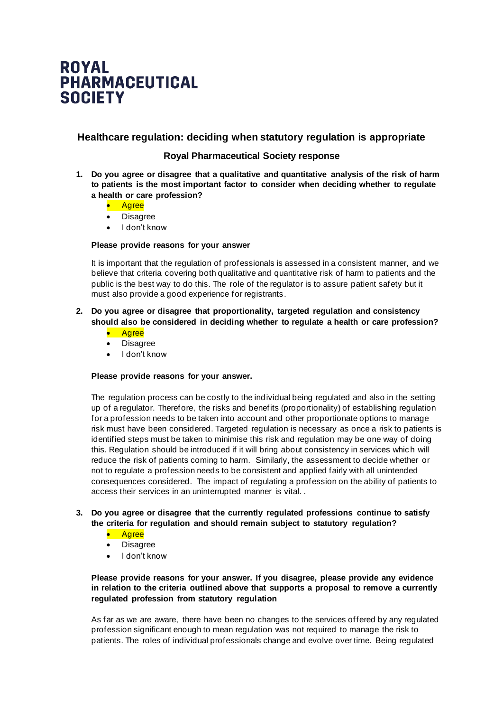# **ROYAL PHARMACEUTICAL SOCIETY**

## **Healthcare regulation: deciding when statutory regulation is appropriate**

## **Royal Pharmaceutical Society response**

- **1. Do you agree or disagree that a qualitative and quantitative analysis of the risk of harm to patients is the most important factor to consider when deciding whether to regulate a health or care profession?**
	- Agree
	- Disagree
	- I don't know

#### **Please provide reasons for your answer**

It is important that the regulation of professionals is assessed in a consistent manner, and we believe that criteria covering both qualitative and quantitative risk of harm to patients and the public is the best way to do this. The role of the regulator is to assure patient safety but it must also provide a good experience for registrants.

- **2. Do you agree or disagree that proportionality, targeted regulation and consistency should also be considered in deciding whether to regulate a health or care profession?**
	- Agree
	- **Disagree**
	- I don't know

#### **Please provide reasons for your answer.**

The regulation process can be costly to the individual being regulated and also in the setting up of a regulator. Therefore, the risks and benefits (proportionality) of establishing regulation for a profession needs to be taken into account and other proportionate options to manage risk must have been considered. Targeted regulation is necessary as once a risk to patients is identified steps must be taken to minimise this risk and regulation may be one way of doing this. Regulation should be introduced if it will bring about consistency in services whic h will reduce the risk of patients coming to harm. Similarly, the assessment to decide whether or not to regulate a profession needs to be consistent and applied fairly with all unintended consequences considered. The impact of regulating a profession on the ability of patients to access their services in an uninterrupted manner is vital. .

### **3. Do you agree or disagree that the currently regulated professions continue to satisfy the criteria for regulation and should remain subject to statutory regulation?**

## • Agree

- Disagree
- I don't know

**Please provide reasons for your answer. If you disagree, please provide any evidence in relation to the criteria outlined above that supports a proposal to remove a currently regulated profession from statutory regulation**

As far as we are aware, there have been no changes to the services offered by any regulated profession significant enough to mean regulation was not required to manage the risk to patients. The roles of individual professionals change and evolve over time. Being regulated